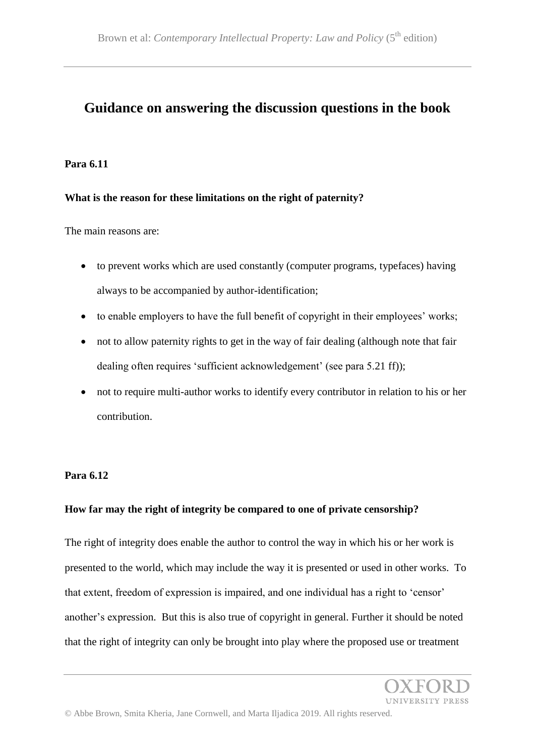# **Guidance on answering the discussion questions in the book**

#### **Para 6.11**

## **What is the reason for these limitations on the right of paternity?**

The main reasons are:

- to prevent works which are used constantly (computer programs, typefaces) having always to be accompanied by author-identification;
- to enable employers to have the full benefit of copyright in their employees' works;
- not to allow paternity rights to get in the way of fair dealing (although note that fair dealing often requires 'sufficient acknowledgement' (see para 5.21 ff));
- not to require multi-author works to identify every contributor in relation to his or her contribution.

## **Para 6.12**

## **How far may the right of integrity be compared to one of private censorship?**

The right of integrity does enable the author to control the way in which his or her work is presented to the world, which may include the way it is presented or used in other works. To that extent, freedom of expression is impaired, and one individual has a right to 'censor' another's expression. But this is also true of copyright in general. Further it should be noted that the right of integrity can only be brought into play where the proposed use or treatment

**UNIVERSITY PRESS**